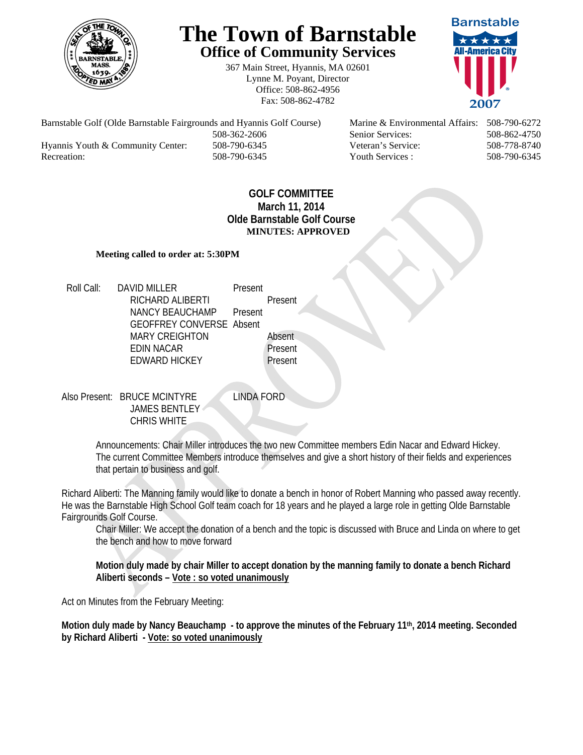

## **The Town of Barnstable Office of Community Services**

367 Main Street, Hyannis, MA 02601 Lynne M. Poyant, Director Office: 508-862-4956 Fax: 508-862-4782



Barnstable Golf (Olde Barnstable Fairgrounds and Hyannis Golf Course) Marine & Environmental Affairs: 508-790-6272 508-362-2606 Senior Services: 508-862-4750 Hyannis Youth & Community Center: 508-790-6345 Veteran's Service: 508-778-8740 Recreation: 508-790-6345 Youth Services : 508-790-6345 S08-790-6345

## **GOLF COMMITTEE March 11, 2014 Olde Barnstable Golf Course MINUTES: APPROVED**

## **Meeting called to order at: 5:30PM**

Roll Call: DAVID MILLER Present RICHARD ALIBERTI Present NANCY BEAUCHAMP Present GEOFFREY CONVERSE Absent MARY CREIGHTON Absent<br>
FDIN NACAR
THE Present EDIN NACAR EDWARD HICKEY Present

Also Present: BRUCE MCINTYRE LINDA FORD JAMES BENTLEY CHRIS WHITE

Announcements: Chair Miller introduces the two new Committee members Edin Nacar and Edward Hickey. The current Committee Members introduce themselves and give a short history of their fields and experiences that pertain to business and golf.

Richard Aliberti: The Manning family would like to donate a bench in honor of Robert Manning who passed away recently. He was the Barnstable High School Golf team coach for 18 years and he played a large role in getting Olde Barnstable Fairgrounds Golf Course.

Chair Miller: We accept the donation of a bench and the topic is discussed with Bruce and Linda on where to get the bench and how to move forward

**Motion duly made by chair Miller to accept donation by the manning family to donate a bench Richard Aliberti seconds – Vote : so voted unanimously**

Act on Minutes from the February Meeting:

**Motion duly made by Nancy Beauchamp - to approve the minutes of the February 11th, 2014 meeting. Seconded by Richard Aliberti - Vote: so voted unanimously**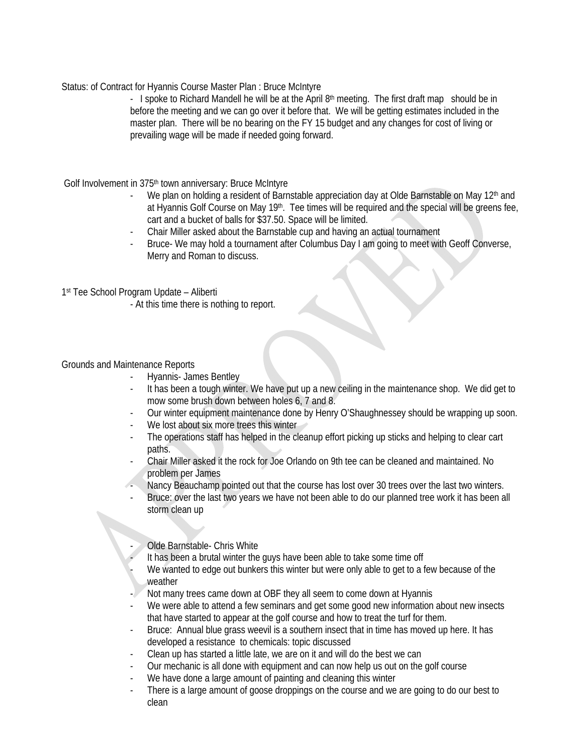Status: of Contract for Hyannis Course Master Plan : Bruce McIntyre

- I spoke to Richard Mandell he will be at the April  $8<sup>th</sup>$  meeting. The first draft map should be in before the meeting and we can go over it before that. We will be getting estimates included in the master plan. There will be no bearing on the FY 15 budget and any changes for cost of living or prevailing wage will be made if needed going forward.

Golf Involvement in 375<sup>th</sup> town anniversary: Bruce McIntyre

- We plan on holding a resident of Barnstable appreciation day at Olde Barnstable on May 12<sup>th</sup> and at Hyannis Golf Course on May 19<sup>th</sup>. Tee times will be required and the special will be greens fee, cart and a bucket of balls for \$37.50. Space will be limited.
- Chair Miller asked about the Barnstable cup and having an actual tournament
- Bruce- We may hold a tournament after Columbus Day I am going to meet with Geoff Converse, Merry and Roman to discuss.

1st Tee School Program Update – Aliberti

- At this time there is nothing to report.

Grounds and Maintenance Reports

- Hyannis- James Bentley
- It has been a tough winter. We have put up a new ceiling in the maintenance shop. We did get to mow some brush down between holes 6, 7 and 8.
- Our winter equipment maintenance done by Henry O'Shaughnessey should be wrapping up soon.
- We lost about six more trees this winter
- The operations staff has helped in the cleanup effort picking up sticks and helping to clear cart paths.
- Chair Miller asked it the rock for Joe Orlando on 9th tee can be cleaned and maintained. No problem per James
- Nancy Beauchamp pointed out that the course has lost over 30 trees over the last two winters.
- Bruce: over the last two years we have not been able to do our planned tree work it has been all storm clean up

Olde Barnstable- Chris White

It has been a brutal winter the guys have been able to take some time off

We wanted to edge out bunkers this winter but were only able to get to a few because of the weather

- Not many trees came down at OBF they all seem to come down at Hyannis
- We were able to attend a few seminars and get some good new information about new insects that have started to appear at the golf course and how to treat the turf for them.
- Bruce: Annual blue grass weevil is a southern insect that in time has moved up here. It has developed a resistance to chemicals: topic discussed
- Clean up has started a little late, we are on it and will do the best we can
- Our mechanic is all done with equipment and can now help us out on the golf course
- We have done a large amount of painting and cleaning this winter
- There is a large amount of goose droppings on the course and we are going to do our best to clean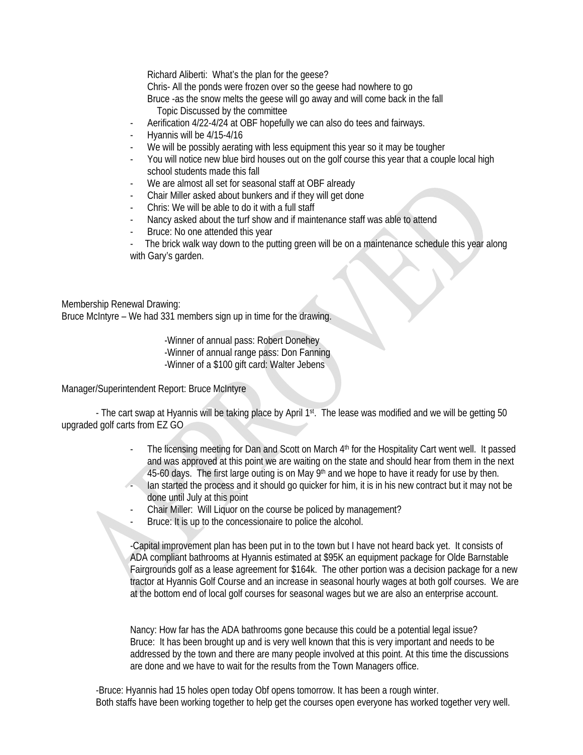Richard Aliberti: What's the plan for the geese?

Chris- All the ponds were frozen over so the geese had nowhere to go

Bruce -as the snow melts the geese will go away and will come back in the fall Topic Discussed by the committee

- Aerification 4/22-4/24 at OBF hopefully we can also do tees and fairways.
- Hyannis will be 4/15-4/16
- We will be possibly aerating with less equipment this year so it may be tougher
- You will notice new blue bird houses out on the golf course this year that a couple local high school students made this fall
- We are almost all set for seasonal staff at OBF already
- Chair Miller asked about bunkers and if they will get done
- Chris: We will be able to do it with a full staff
- Nancy asked about the turf show and if maintenance staff was able to attend
- Bruce: No one attended this year

The brick walk way down to the putting green will be on a maintenance schedule this year along with Gary's garden.

Membership Renewal Drawing:

Bruce McIntyre – We had 331 members sign up in time for the drawing.

 -Winner of annual pass: Robert Donehey -Winner of annual range pass: Don Fanning -Winner of a \$100 gift card: Walter Jebens

Manager/Superintendent Report: Bruce McIntyre

- The cart swap at Hyannis will be taking place by April 1st. The lease was modified and we will be getting 50 upgraded golf carts from EZ GO

- The licensing meeting for Dan and Scott on March 4<sup>th</sup> for the Hospitality Cart went well. It passed and was approved at this point we are waiting on the state and should hear from them in the next 45-60 days. The first large outing is on May  $9<sup>th</sup>$  and we hope to have it ready for use by then. - Ian started the process and it should go quicker for him, it is in his new contract but it may not be done until July at this point
- Chair Miller: Will Liquor on the course be policed by management?
- Bruce: It is up to the concessionaire to police the alcohol.

-Capital improvement plan has been put in to the town but I have not heard back yet. It consists of ADA compliant bathrooms at Hyannis estimated at \$95K an equipment package for Olde Barnstable Fairgrounds golf as a lease agreement for \$164k. The other portion was a decision package for a new tractor at Hyannis Golf Course and an increase in seasonal hourly wages at both golf courses. We are at the bottom end of local golf courses for seasonal wages but we are also an enterprise account.

Nancy: How far has the ADA bathrooms gone because this could be a potential legal issue? Bruce: It has been brought up and is very well known that this is very important and needs to be addressed by the town and there are many people involved at this point. At this time the discussions are done and we have to wait for the results from the Town Managers office.

 -Bruce: Hyannis had 15 holes open today Obf opens tomorrow. It has been a rough winter. Both staffs have been working together to help get the courses open everyone has worked together very well.